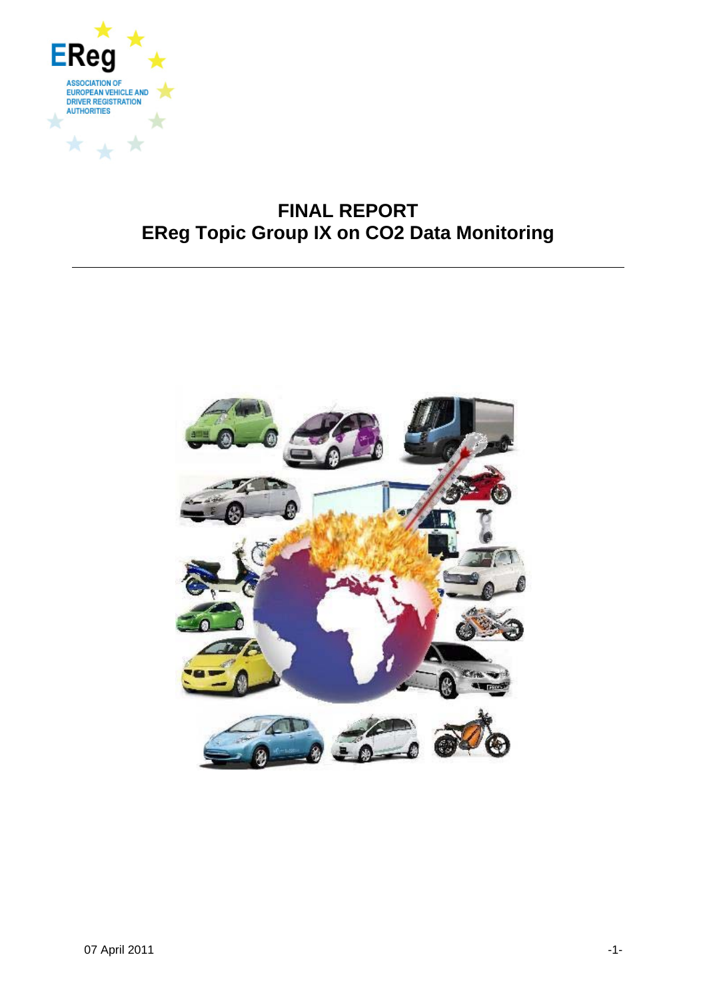

# **FINAL REPORT EReg Topic Group IX on CO2 Data Monitoring**

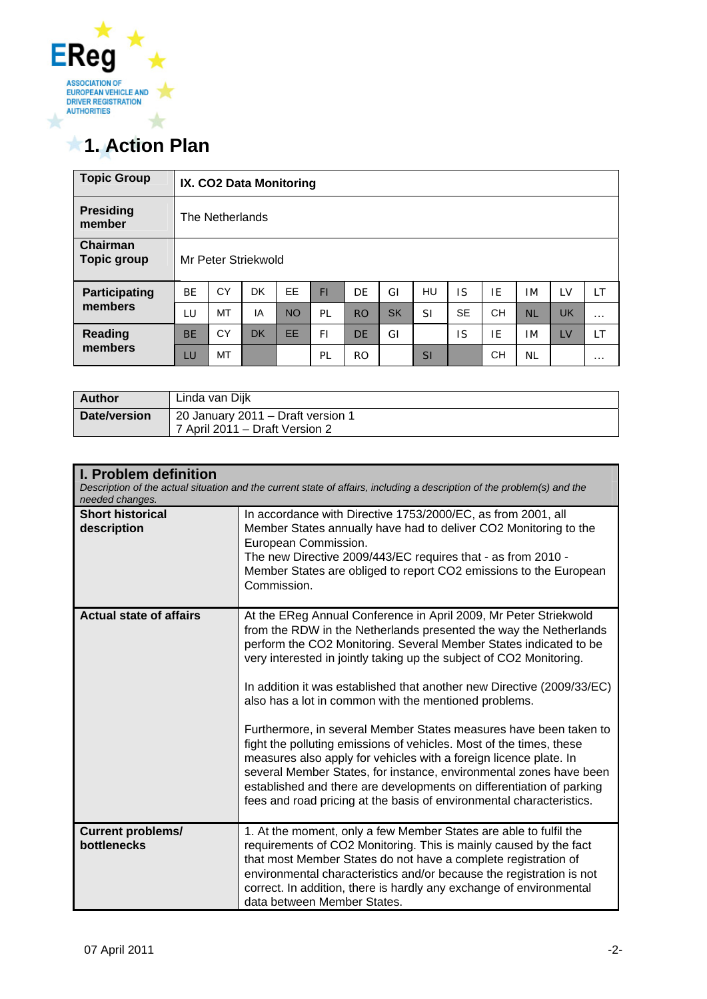

# **1. Action Plan**

| <b>Topic Group</b>                    |           | IX. CO2 Data Monitoring |           |           |     |           |           |           |           |           |           |           |          |
|---------------------------------------|-----------|-------------------------|-----------|-----------|-----|-----------|-----------|-----------|-----------|-----------|-----------|-----------|----------|
| <b>Presiding</b><br>member            |           | The Netherlands         |           |           |     |           |           |           |           |           |           |           |          |
| <b>Chairman</b><br><b>Topic group</b> |           | Mr Peter Striekwold     |           |           |     |           |           |           |           |           |           |           |          |
| <b>Participating</b>                  | <b>BE</b> | CY                      | DK        | EE        | FI  | DE        | GI        | HU        | IS        | IF        | ΙM        | LV        | LT       |
| members                               | LU        | MT                      | IA        | <b>NO</b> | PL  | <b>RO</b> | <b>SK</b> | <b>SI</b> | <b>SE</b> | <b>CH</b> | <b>NL</b> | <b>UK</b> | $\cdots$ |
| <b>Reading</b><br>members             | <b>BE</b> | CY                      | <b>DK</b> | EE        | FI. | <b>DE</b> | GI        |           | IS        | IE        | ΙM        | LV        | LT       |
|                                       | LU        | MT                      |           |           | PL  | <b>RO</b> |           | <b>SI</b> |           | <b>CH</b> | <b>NL</b> |           | $\cdots$ |

| <b>Author</b> | Linda van Dijk                                                      |
|---------------|---------------------------------------------------------------------|
| Date/version  | 20 January 2011 - Draft version 1<br>7 April 2011 – Draft Version 2 |

| I. Problem definition<br>needed changes. | Description of the actual situation and the current state of affairs, including a description of the problem(s) and the                                                                                                                                                                                                                                                                                                                                                                                                                                                                                                                                                                                                                                                                                                                                     |
|------------------------------------------|-------------------------------------------------------------------------------------------------------------------------------------------------------------------------------------------------------------------------------------------------------------------------------------------------------------------------------------------------------------------------------------------------------------------------------------------------------------------------------------------------------------------------------------------------------------------------------------------------------------------------------------------------------------------------------------------------------------------------------------------------------------------------------------------------------------------------------------------------------------|
| <b>Short historical</b><br>description   | In accordance with Directive 1753/2000/EC, as from 2001, all<br>Member States annually have had to deliver CO2 Monitoring to the<br>European Commission.<br>The new Directive 2009/443/EC requires that - as from 2010 -<br>Member States are obliged to report CO2 emissions to the European<br>Commission.                                                                                                                                                                                                                                                                                                                                                                                                                                                                                                                                                |
| <b>Actual state of affairs</b>           | At the EReg Annual Conference in April 2009, Mr Peter Striekwold<br>from the RDW in the Netherlands presented the way the Netherlands<br>perform the CO2 Monitoring. Several Member States indicated to be<br>very interested in jointly taking up the subject of CO2 Monitoring.<br>In addition it was established that another new Directive (2009/33/EC)<br>also has a lot in common with the mentioned problems.<br>Furthermore, in several Member States measures have been taken to<br>fight the polluting emissions of vehicles. Most of the times, these<br>measures also apply for vehicles with a foreign licence plate. In<br>several Member States, for instance, environmental zones have been<br>established and there are developments on differentiation of parking<br>fees and road pricing at the basis of environmental characteristics. |
| <b>Current problems/</b><br>bottlenecks  | 1. At the moment, only a few Member States are able to fulfil the<br>requirements of CO2 Monitoring. This is mainly caused by the fact<br>that most Member States do not have a complete registration of<br>environmental characteristics and/or because the registration is not<br>correct. In addition, there is hardly any exchange of environmental<br>data between Member States.                                                                                                                                                                                                                                                                                                                                                                                                                                                                      |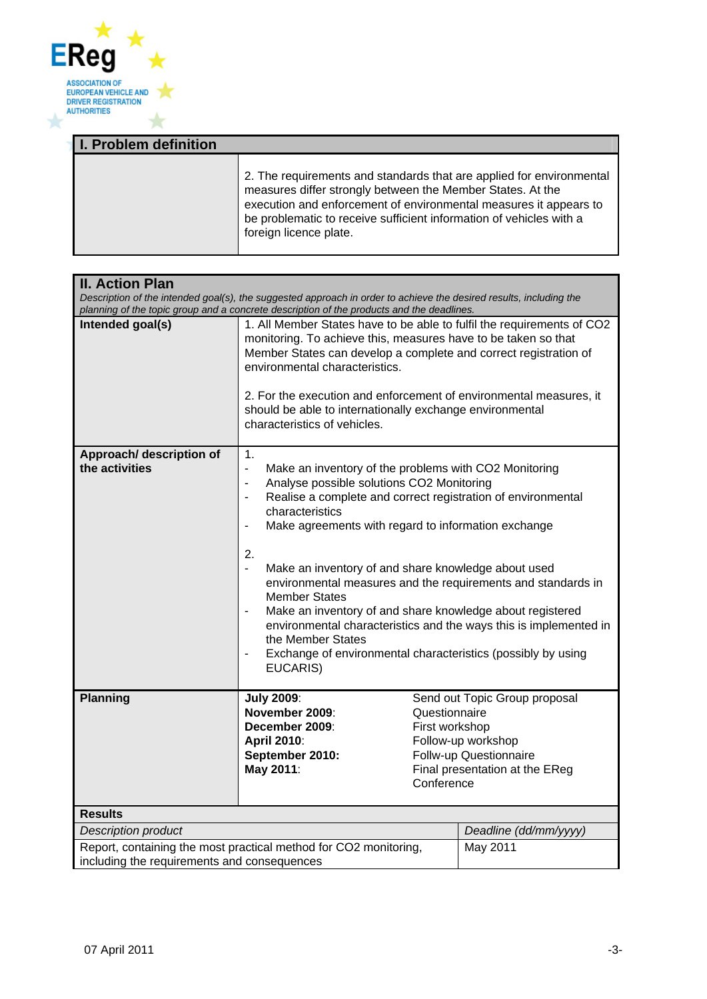

| <b>I. Problem definition</b> |                                                                                                                                                                                                                                                                                                          |
|------------------------------|----------------------------------------------------------------------------------------------------------------------------------------------------------------------------------------------------------------------------------------------------------------------------------------------------------|
|                              | 2. The requirements and standards that are applied for environmental<br>measures differ strongly between the Member States. At the<br>execution and enforcement of environmental measures it appears to<br>be problematic to receive sufficient information of vehicles with a<br>foreign licence plate. |

| <b>II. Action Plan</b>                      |                                                                                                                                                                                                                                                                                                                                                                                                                                                                                                               |                                                                                                                                                                                                                                                                                                                                |  |  |
|---------------------------------------------|---------------------------------------------------------------------------------------------------------------------------------------------------------------------------------------------------------------------------------------------------------------------------------------------------------------------------------------------------------------------------------------------------------------------------------------------------------------------------------------------------------------|--------------------------------------------------------------------------------------------------------------------------------------------------------------------------------------------------------------------------------------------------------------------------------------------------------------------------------|--|--|
|                                             | Description of the intended goal(s), the suggested approach in order to achieve the desired results, including the                                                                                                                                                                                                                                                                                                                                                                                            |                                                                                                                                                                                                                                                                                                                                |  |  |
| Intended goal(s)                            | planning of the topic group and a concrete description of the products and the deadlines.<br>1. All Member States have to be able to fulfil the requirements of CO2<br>monitoring. To achieve this, measures have to be taken so that<br>Member States can develop a complete and correct registration of<br>environmental characteristics.<br>2. For the execution and enforcement of environmental measures, it<br>should be able to internationally exchange environmental<br>characteristics of vehicles. |                                                                                                                                                                                                                                                                                                                                |  |  |
| Approach/ description of<br>the activities  | $\mathbf 1$ .<br>$\blacksquare$<br>Make an inventory of the problems with CO2 Monitoring<br>Analyse possible solutions CO2 Monitoring<br>$\blacksquare$<br>$\overline{\phantom{a}}$<br>characteristics<br>Make agreements with regard to information exchange<br>$\blacksquare$<br>2.<br>$\blacksquare$<br>Make an inventory of and share knowledge about used<br><b>Member States</b><br>the Member States<br>EUCARIS)                                                                                       | Realise a complete and correct registration of environmental<br>environmental measures and the requirements and standards in<br>Make an inventory of and share knowledge about registered<br>environmental characteristics and the ways this is implemented in<br>Exchange of environmental characteristics (possibly by using |  |  |
| <b>Planning</b>                             | <b>July 2009:</b><br>November 2009:<br>December 2009:<br><b>April 2010:</b><br>September 2010:<br>May 2011:                                                                                                                                                                                                                                                                                                                                                                                                   | Send out Topic Group proposal<br>Questionnaire<br>First workshop<br>Follow-up workshop<br>Follw-up Questionnaire<br>Final presentation at the EReg<br>Conference                                                                                                                                                               |  |  |
| <b>Results</b>                              |                                                                                                                                                                                                                                                                                                                                                                                                                                                                                                               |                                                                                                                                                                                                                                                                                                                                |  |  |
| <b>Description product</b>                  |                                                                                                                                                                                                                                                                                                                                                                                                                                                                                                               | Deadline (dd/mm/yyyy)                                                                                                                                                                                                                                                                                                          |  |  |
| including the requirements and consequences | Report, containing the most practical method for CO2 monitoring,                                                                                                                                                                                                                                                                                                                                                                                                                                              | May 2011                                                                                                                                                                                                                                                                                                                       |  |  |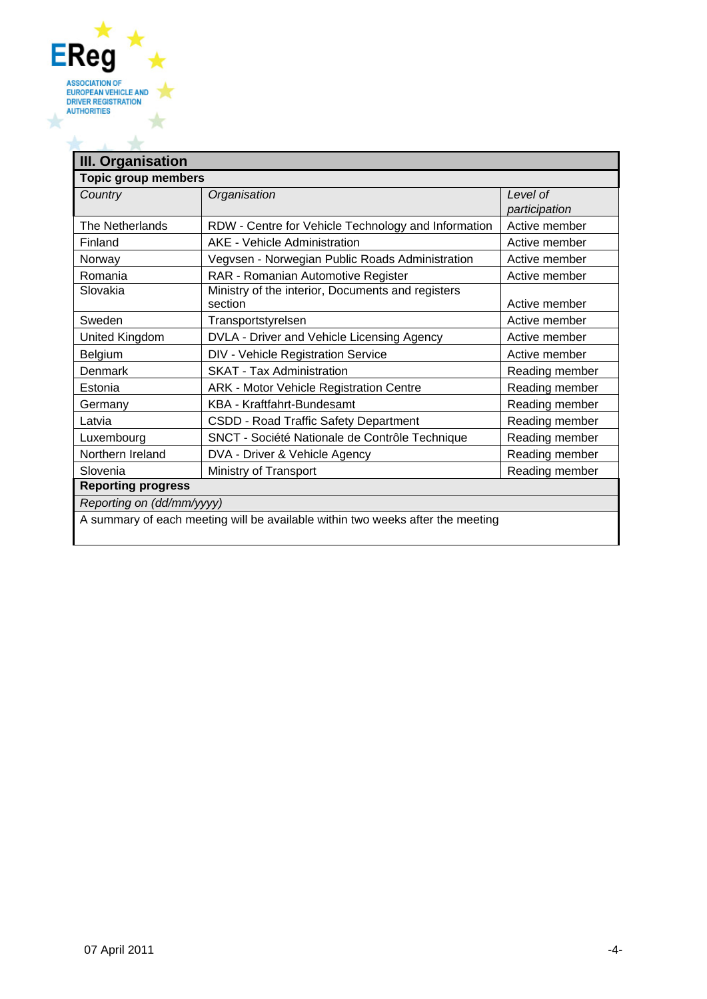

| <b>Topic group members</b> |                                                              |                           |
|----------------------------|--------------------------------------------------------------|---------------------------|
| Country                    | Organisation                                                 | Level of<br>participation |
| The Netherlands            | RDW - Centre for Vehicle Technology and Information          | Active member             |
| Finland                    | AKE - Vehicle Administration                                 | Active member             |
| Norway                     | Vegvsen - Norwegian Public Roads Administration              | Active member             |
| Romania                    | RAR - Romanian Automotive Register                           | Active member             |
| Slovakia                   | Ministry of the interior, Documents and registers<br>section | Active member             |
| Sweden                     | Transportstyrelsen                                           | Active member             |
| United Kingdom             | DVLA - Driver and Vehicle Licensing Agency                   | Active member             |
| Belgium                    | DIV - Vehicle Registration Service                           | Active member             |
| Denmark                    | <b>SKAT - Tax Administration</b>                             | Reading member            |
| Estonia                    | ARK - Motor Vehicle Registration Centre                      | Reading member            |
| Germany                    | KBA - Kraftfahrt-Bundesamt                                   | Reading member            |
| Latvia                     | CSDD - Road Traffic Safety Department                        | Reading member            |
| Luxembourg                 | SNCT - Société Nationale de Contrôle Technique               | Reading member            |
| Northern Ireland           | DVA - Driver & Vehicle Agency                                | Reading member            |
| Slovenia                   | Ministry of Transport                                        | Reading member            |
| <b>Reporting progress</b>  |                                                              |                           |
| Reporting on (dd/mm/yyyy)  |                                                              |                           |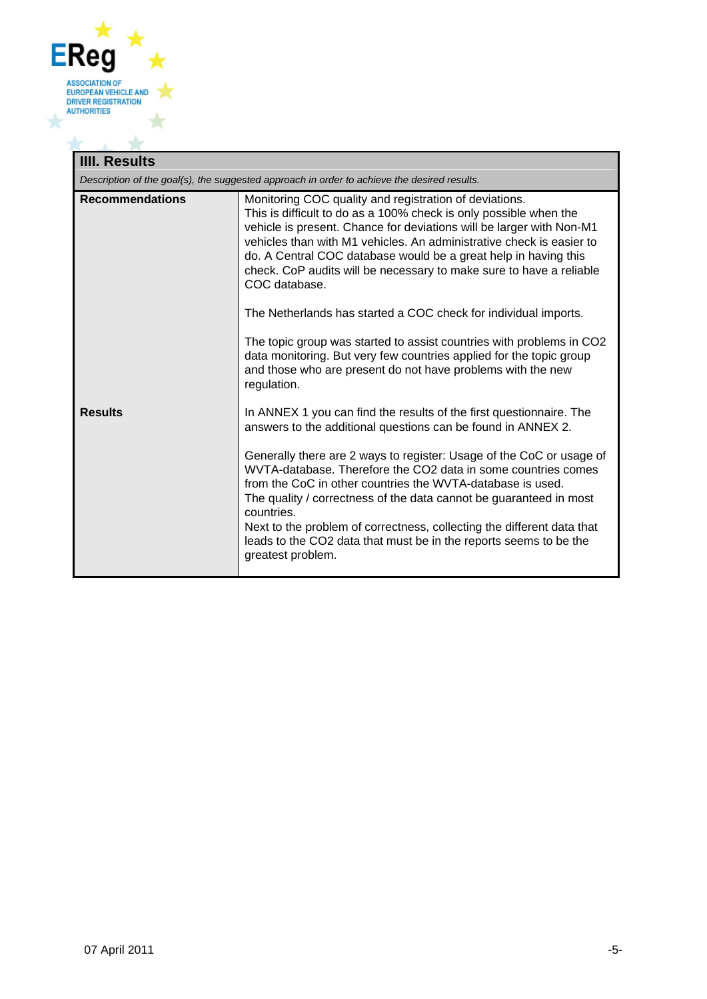

# **IIII. Results**

⊥

*Description of the goal(s), the suggested approach in order to achieve the desired results.*

| <b>Recommendations</b> | Monitoring COC quality and registration of deviations.<br>This is difficult to do as a 100% check is only possible when the            |
|------------------------|----------------------------------------------------------------------------------------------------------------------------------------|
|                        | vehicle is present. Chance for deviations will be larger with Non-M1                                                                   |
|                        | vehicles than with M1 vehicles. An administrative check is easier to                                                                   |
|                        | do. A Central COC database would be a great help in having this<br>check. CoP audits will be necessary to make sure to have a reliable |
|                        | COC database.                                                                                                                          |
|                        | The Netherlands has started a COC check for individual imports.                                                                        |
|                        | The topic group was started to assist countries with problems in CO2                                                                   |
|                        | data monitoring. But very few countries applied for the topic group<br>and those who are present do not have problems with the new     |
|                        | regulation.                                                                                                                            |
| <b>Results</b>         | In ANNEX 1 you can find the results of the first questionnaire. The                                                                    |
|                        | answers to the additional questions can be found in ANNEX 2.                                                                           |
|                        | Generally there are 2 ways to register: Usage of the CoC or usage of                                                                   |
|                        | WVTA-database. Therefore the CO2 data in some countries comes<br>from the CoC in other countries the WVTA-database is used.            |
|                        | The quality / correctness of the data cannot be guaranteed in most<br>countries.                                                       |
|                        | Next to the problem of correctness, collecting the different data that                                                                 |
|                        | leads to the CO2 data that must be in the reports seems to be the                                                                      |
|                        | greatest problem.                                                                                                                      |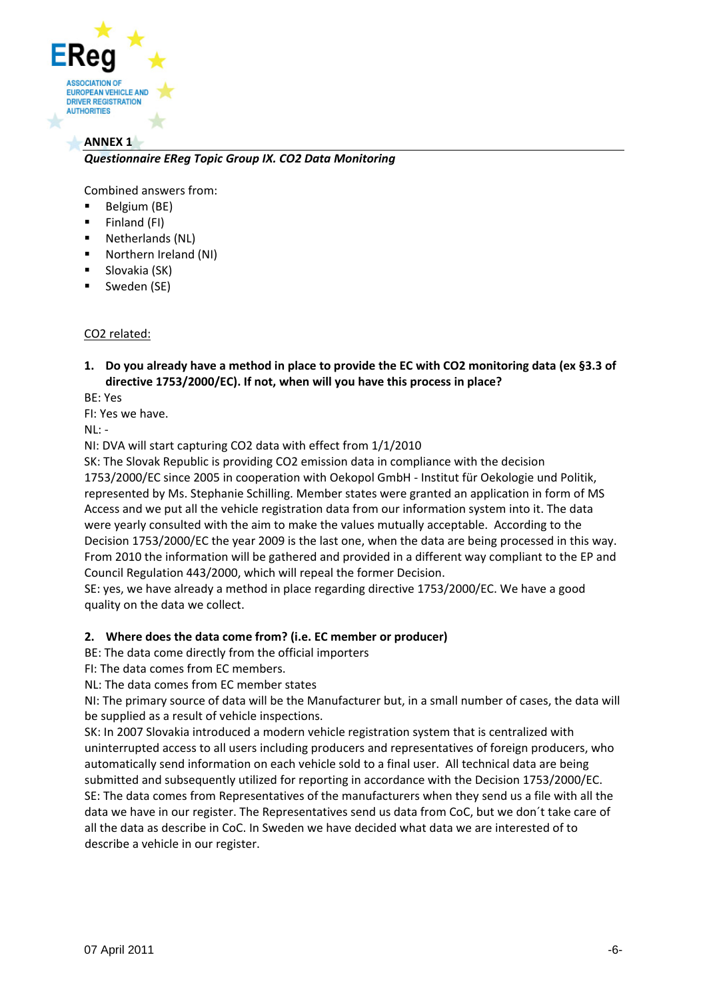

#### **ANNEX 1**

#### *Questionnaire EReg Topic Group IX. CO2 Data Monitoring*

Combined answers from:

- Belgium (BE)
- $\blacksquare$  Finland (FI)
- Netherlands (NL)
- Northern Ireland (NI)
- Slovakia (SK)
- **Sweden (SE)**

#### CO2 related:

1. Do you already have a method in place to provide the EC with CO2 monitoring data (ex §3.3 of **directive 1753/2000/EC). If not, when will you have this process in place?**

BE: Yes

FI: Yes we have.

NL: ‐

NI: DVA will start capturing CO2 data with effect from 1/1/2010

SK: The Slovak Republic is providing CO2 emission data in compliance with the decision 1753/2000/EC since 2005 in cooperation with Oekopol GmbH ‐ Institut für Oekologie und Politik, represented by Ms. Stephanie Schilling. Member states were granted an application in form of MS Access and we put all the vehicle registration data from our information system into it. The data were yearly consulted with the aim to make the values mutually acceptable. According to the Decision 1753/2000/EC the year 2009 is the last one, when the data are being processed in this way. From 2010 the information will be gathered and provided in a different way compliant to the EP and Council Regulation 443/2000, which will repeal the former Decision.

SE: yes, we have already a method in place regarding directive 1753/2000/EC. We have a good quality on the data we collect.

#### **2. Where does the data come from? (i.e. EC member or producer)**

BE: The data come directly from the official importers

FI: The data comes from EC members.

NL: The data comes from EC member states

NI: The primary source of data will be the Manufacturer but, in a small number of cases, the data will be supplied as a result of vehicle inspections.

SK: In 2007 Slovakia introduced a modern vehicle registration system that is centralized with uninterrupted access to all users including producers and representatives of foreign producers, who automatically send information on each vehicle sold to a final user. All technical data are being submitted and subsequently utilized for reporting in accordance with the Decision 1753/2000/EC. SE: The data comes from Representatives of the manufacturers when they send us a file with all the data we have in our register. The Representatives send us data from CoC, but we don´t take care of all the data as describe in CoC. In Sweden we have decided what data we are interested of to describe a vehicle in our register.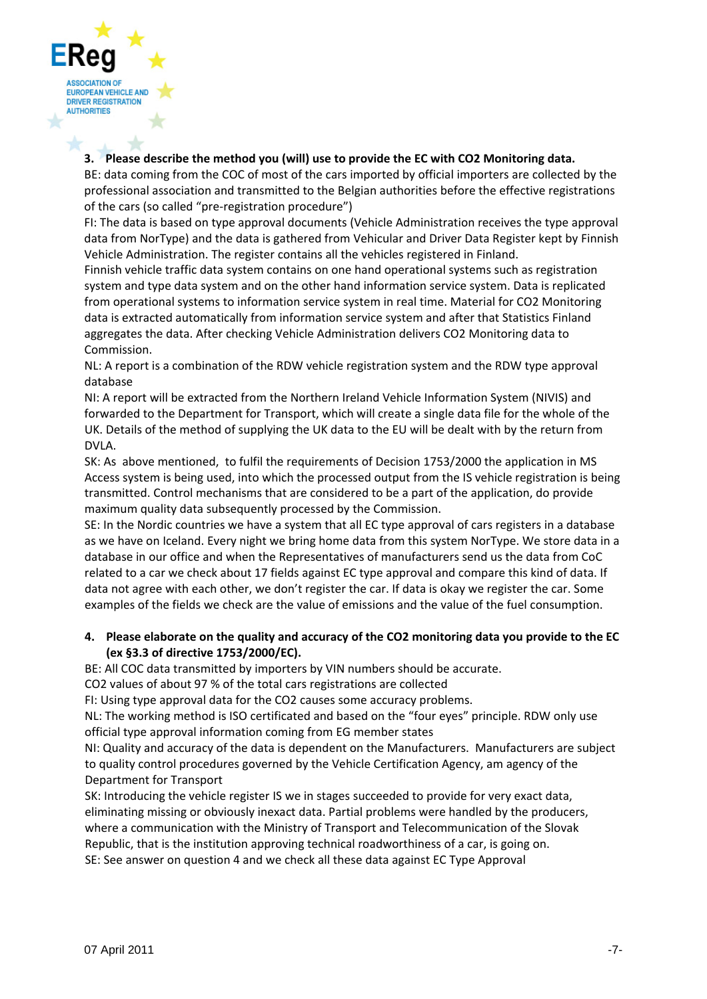

#### **3. Please describe the method you (will) use to provide the EC with CO2 Monitoring data.**

BE: data coming from the COC of most of the cars imported by official importers are collected by the professional association and transmitted to the Belgian authorities before the effective registrations of the cars (so called "pre‐registration procedure")

FI: The data is based on type approval documents (Vehicle Administration receives the type approval data from NorType) and the data is gathered from Vehicular and Driver Data Register kept by Finnish Vehicle Administration. The register contains all the vehicles registered in Finland.

Finnish vehicle traffic data system contains on one hand operational systems such as registration system and type data system and on the other hand information service system. Data is replicated from operational systems to information service system in real time. Material for CO2 Monitoring data is extracted automatically from information service system and after that Statistics Finland aggregates the data. After checking Vehicle Administration delivers CO2 Monitoring data to Commission.

NL: A report is a combination of the RDW vehicle registration system and the RDW type approval database

NI: A report will be extracted from the Northern Ireland Vehicle Information System (NIVIS) and forwarded to the Department for Transport, which will create a single data file for the whole of the UK. Details of the method of supplying the UK data to the EU will be dealt with by the return from DVLA.

SK: As above mentioned, to fulfil the requirements of Decision 1753/2000 the application in MS Access system is being used, into which the processed output from the IS vehicle registration is being transmitted. Control mechanisms that are considered to be a part of the application, do provide maximum quality data subsequently processed by the Commission.

SE: In the Nordic countries we have a system that all EC type approval of cars registers in a database as we have on Iceland. Every night we bring home data from this system NorType. We store data in a database in our office and when the Representatives of manufacturers send us the data from CoC related to a car we check about 17 fields against EC type approval and compare this kind of data. If data not agree with each other, we don't register the car. If data is okay we register the car. Some examples of the fields we check are the value of emissions and the value of the fuel consumption.

#### **4. Please elaborate on the quality and accuracy of the CO2 monitoring data you provide to the EC (ex §3.3 of directive 1753/2000/EC).**

BE: All COC data transmitted by importers by VIN numbers should be accurate.

CO2 values of about 97 % of the total cars registrations are collected

FI: Using type approval data for the CO2 causes some accuracy problems.

NL: The working method is ISO certificated and based on the "four eyes" principle. RDW only use official type approval information coming from EG member states

NI: Quality and accuracy of the data is dependent on the Manufacturers. Manufacturers are subject to quality control procedures governed by the Vehicle Certification Agency, am agency of the Department for Transport

SK: Introducing the vehicle register IS we in stages succeeded to provide for very exact data, eliminating missing or obviously inexact data. Partial problems were handled by the producers, where a communication with the Ministry of Transport and Telecommunication of the Slovak Republic, that is the institution approving technical roadworthiness of a car, is going on. SE: See answer on question 4 and we check all these data against EC Type Approval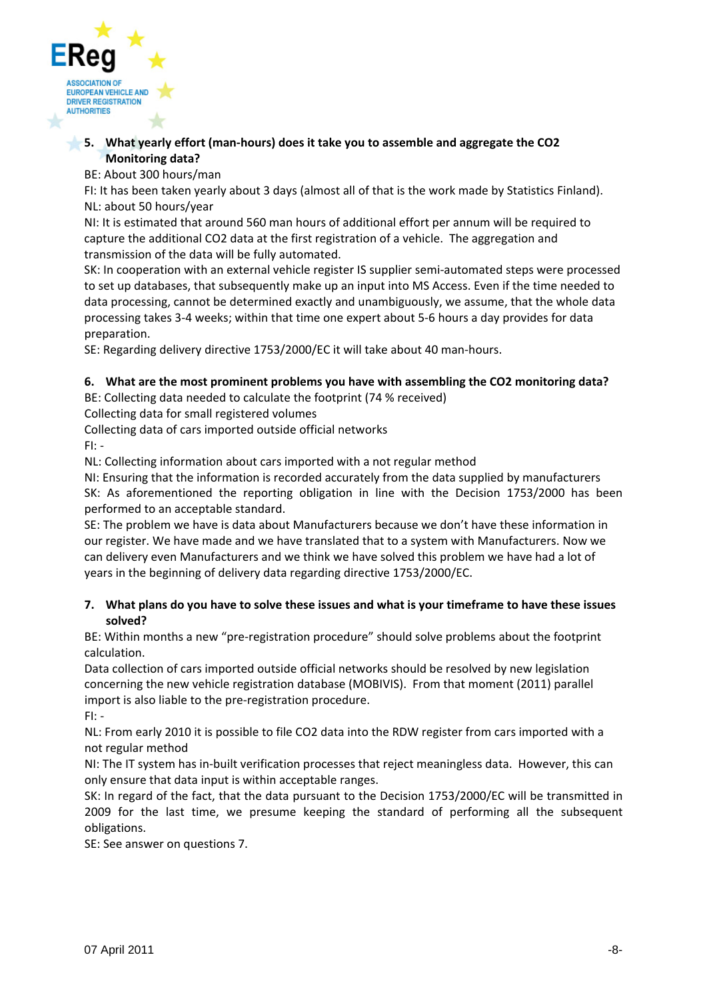

#### **5. What yearly effort (man‐hours) does it take you to assemble and aggregate the CO2 Monitoring data?**

BE: About 300 hours/man

FI: It has been taken yearly about 3 days (almost all of that is the work made by Statistics Finland). NL: about 50 hours/year

NI: It is estimated that around 560 man hours of additional effort per annum will be required to capture the additional CO2 data at the first registration of a vehicle. The aggregation and transmission of the data will be fully automated.

SK: In cooperation with an external vehicle register IS supplier semi-automated steps were processed to set up databases, that subsequently make up an input into MS Access. Even if the time needed to data processing, cannot be determined exactly and unambiguously, we assume, that the whole data processing takes 3‐4 weeks; within that time one expert about 5‐6 hours a day provides for data preparation.

SE: Regarding delivery directive 1753/2000/EC it will take about 40 man‐hours.

# **6. What are the most prominent problems you have with assembling the CO2 monitoring data?**

BE: Collecting data needed to calculate the footprint (74 % received)

Collecting data for small registered volumes

Collecting data of cars imported outside official networks

 $F1: -$ 

NL: Collecting information about cars imported with a not regular method

NI: Ensuring that the information is recorded accurately from the data supplied by manufacturers SK: As aforementioned the reporting obligation in line with the Decision 1753/2000 has been performed to an acceptable standard.

SE: The problem we have is data about Manufacturers because we don't have these information in our register. We have made and we have translated that to a system with Manufacturers. Now we can delivery even Manufacturers and we think we have solved this problem we have had a lot of years in the beginning of delivery data regarding directive 1753/2000/EC.

#### 7. What plans do you have to solve these issues and what is your timeframe to have these issues **solved?**

BE: Within months a new "pre-registration procedure" should solve problems about the footprint calculation.

Data collection of cars imported outside official networks should be resolved by new legislation concerning the new vehicle registration database (MOBIVIS). From that moment (2011) parallel import is also liable to the pre-registration procedure.

FI: ‐

NL: From early 2010 it is possible to file CO2 data into the RDW register from cars imported with a not regular method

NI: The IT system has in‐built verification processes that reject meaningless data. However, this can only ensure that data input is within acceptable ranges.

SK: In regard of the fact, that the data pursuant to the Decision 1753/2000/EC will be transmitted in 2009 for the last time, we presume keeping the standard of performing all the subsequent obligations.

SE: See answer on questions 7.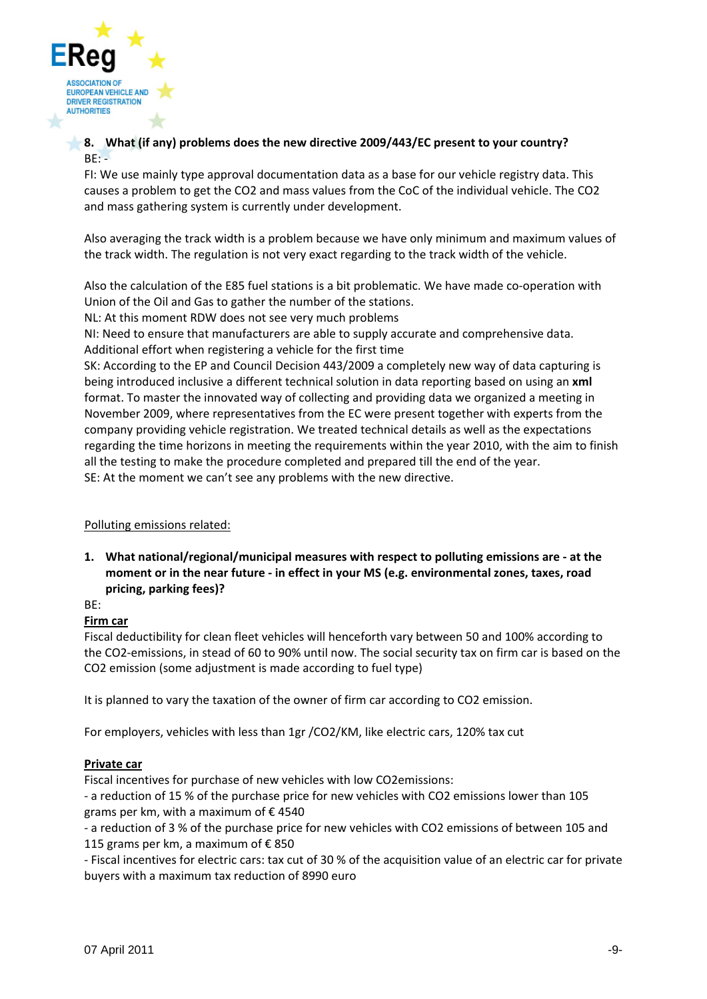

#### **8. What (if any) problems does the new directive 2009/443/EC present to your country?**  $BE: -$

FI: We use mainly type approval documentation data as a base for our vehicle registry data. This causes a problem to get the CO2 and mass values from the CoC of the individual vehicle. The CO2 and mass gathering system is currently under development.

Also averaging the track width is a problem because we have only minimum and maximum values of the track width. The regulation is not very exact regarding to the track width of the vehicle.

Also the calculation of the E85 fuel stations is a bit problematic. We have made co-operation with Union of the Oil and Gas to gather the number of the stations.

NL: At this moment RDW does not see very much problems

NI: Need to ensure that manufacturers are able to supply accurate and comprehensive data. Additional effort when registering a vehicle for the first time

SK: According to the EP and Council Decision 443/2009 a completely new way of data capturing is being introduced inclusive a different technical solution in data reporting based on using an **xml** format. To master the innovated way of collecting and providing data we organized a meeting in November 2009, where representatives from the EC were present together with experts from the company providing vehicle registration. We treated technical details as well as the expectations regarding the time horizons in meeting the requirements within the year 2010, with the aim to finish all the testing to make the procedure completed and prepared till the end of the year. SE: At the moment we can't see any problems with the new directive.

# Polluting emissions related:

**1. What national/regional/municipal measures with respect to polluting emissions are ‐ at the moment or in the near future ‐ in effect in your MS (e.g. environmental zones, taxes, road pricing, parking fees)?** 

BE:

# **Firm car**

Fiscal deductibility for clean fleet vehicles will henceforth vary between 50 and 100% according to the CO2‐emissions, in stead of 60 to 90% until now. The social security tax on firm car is based on the CO2 emission (some adjustment is made according to fuel type)

It is planned to vary the taxation of the owner of firm car according to CO2 emission.

For employers, vehicles with less than 1gr /CO2/KM, like electric cars, 120% tax cut

# **Private car**

Fiscal incentives for purchase of new vehicles with low CO2emissions:

‐ a reduction of 15 % of the purchase price for new vehicles with CO2 emissions lower than 105 grams per km, with a maximum of € 4540

‐ a reduction of 3 % of the purchase price for new vehicles with CO2 emissions of between 105 and 115 grams per km, a maximum of  $\epsilon$  850

‐ Fiscal incentives for electric cars: tax cut of 30 % of the acquisition value of an electric car for private buyers with a maximum tax reduction of 8990 euro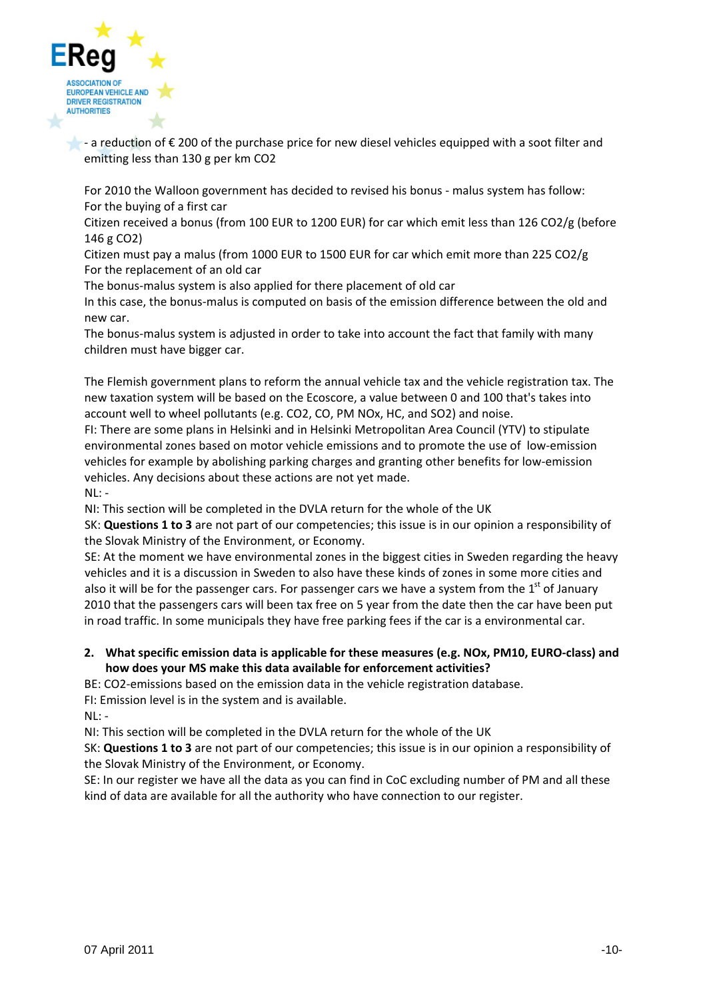

 $\bullet$  - a reduction of  $\epsilon$  200 of the purchase price for new diesel vehicles equipped with a soot filter and emitting less than 130 g per km CO2

For 2010 the Walloon government has decided to revised his bonus - malus system has follow: For the buying of a first car

Citizen received a bonus (from 100 EUR to 1200 EUR) for car which emit less than 126 CO2/g (before 146 g CO2)

Citizen must pay a malus (from 1000 EUR to 1500 EUR for car which emit more than 225 CO2/g For the replacement of an old car

The bonus-malus system is also applied for there placement of old car

In this case, the bonus-malus is computed on basis of the emission difference between the old and new car.

The bonus-malus system is adjusted in order to take into account the fact that family with many children must have bigger car.

The Flemish government plans to reform the annual vehicle tax and the vehicle registration tax. The new taxation system will be based on the Ecoscore, a value between 0 and 100 that's takes into account well to wheel pollutants (e.g. CO2, CO, PM NOx, HC, and SO2) and noise.

FI: There are some plans in Helsinki and in Helsinki Metropolitan Area Council (YTV) to stipulate environmental zones based on motor vehicle emissions and to promote the use of low‐emission vehicles for example by abolishing parking charges and granting other benefits for low‐emission vehicles. Any decisions about these actions are not yet made.

 $NL: -$ 

NI: This section will be completed in the DVLA return for the whole of the UK

SK: **Questions 1 to 3** are not part of our competencies; this issue is in our opinion a responsibility of the Slovak Ministry of the Environment, or Economy.

SE: At the moment we have environmental zones in the biggest cities in Sweden regarding the heavy vehicles and it is a discussion in Sweden to also have these kinds of zones in some more cities and also it will be for the passenger cars. For passenger cars we have a system from the  $1<sup>st</sup>$  of January 2010 that the passengers cars will been tax free on 5 year from the date then the car have been put in road traffic. In some municipals they have free parking fees if the car is a environmental car.

#### **2. What specific emission data is applicable for these measures (e.g. NOx, PM10, EURO‐class) and how does your MS make this data available for enforcement activities?**

BE: CO2-emissions based on the emission data in the vehicle registration database.

FI: Emission level is in the system and is available.

NL: ‐

NI: This section will be completed in the DVLA return for the whole of the UK

SK: **Questions 1 to 3** are not part of our competencies; this issue is in our opinion a responsibility of the Slovak Ministry of the Environment, or Economy.

SE: In our register we have all the data as you can find in CoC excluding number of PM and all these kind of data are available for all the authority who have connection to our register.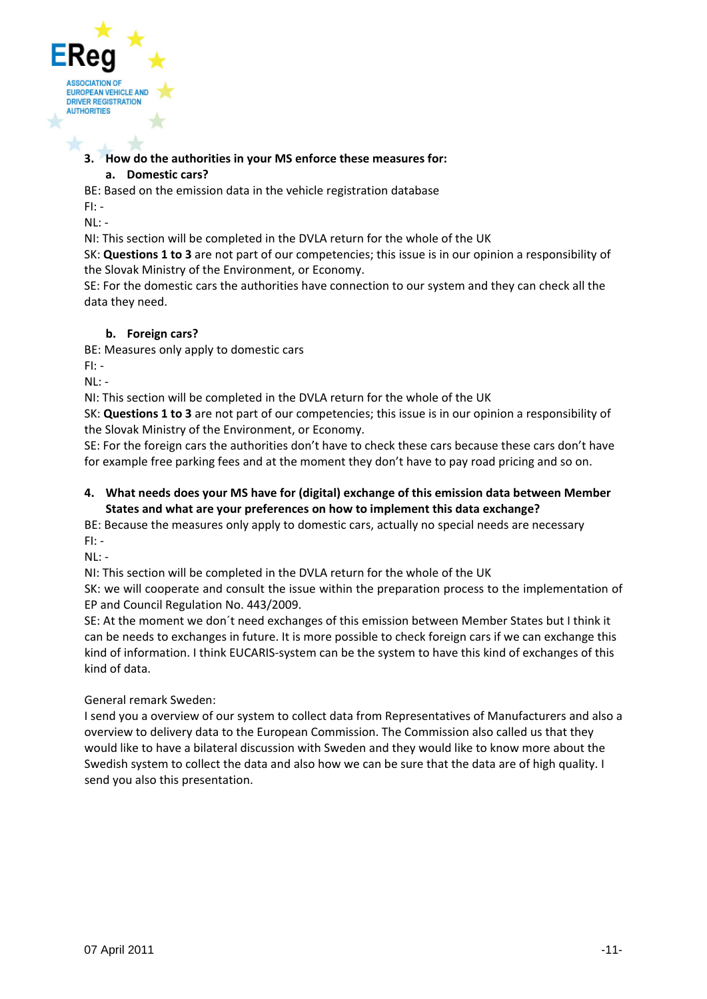

#### **3. How do the authorities in your MS enforce these measures for:**

#### **a. Domestic cars?**

BE: Based on the emission data in the vehicle registration database

FI: ‐ NL: ‐

NI: This section will be completed in the DVLA return for the whole of the UK

SK: **Questions 1 to 3** are not part of our competencies; this issue is in our opinion a responsibility of the Slovak Ministry of the Environment, or Economy.

SE: For the domestic cars the authorities have connection to our system and they can check all the data they need.

# **b. Foreign cars?**

BE: Measures only apply to domestic cars

FI: ‐

NL: ‐

NI: This section will be completed in the DVLA return for the whole of the UK

SK: **Questions 1 to 3** are not part of our competencies; this issue is in our opinion a responsibility of the Slovak Ministry of the Environment, or Economy.

SE: For the foreign cars the authorities don't have to check these cars because these cars don't have for example free parking fees and at the moment they don't have to pay road pricing and so on.

#### **4. What needs does your MS have for (digital) exchange of this emission data between Member States and what are your preferences on how to implement this data exchange?**

BE: Because the measures only apply to domestic cars, actually no special needs are necessary FI: ‐

 $NI: -$ 

NI: This section will be completed in the DVLA return for the whole of the UK

SK: we will cooperate and consult the issue within the preparation process to the implementation of EP and Council Regulation No. 443/2009.

SE: At the moment we don´t need exchanges of this emission between Member States but I think it can be needs to exchanges in future. It is more possible to check foreign cars if we can exchange this kind of information. I think EUCARIS-system can be the system to have this kind of exchanges of this kind of data.

General remark Sweden:

I send you a overview of our system to collect data from Representatives of Manufacturers and also a overview to delivery data to the European Commission. The Commission also called us that they would like to have a bilateral discussion with Sweden and they would like to know more about the Swedish system to collect the data and also how we can be sure that the data are of high quality. I send you also this presentation.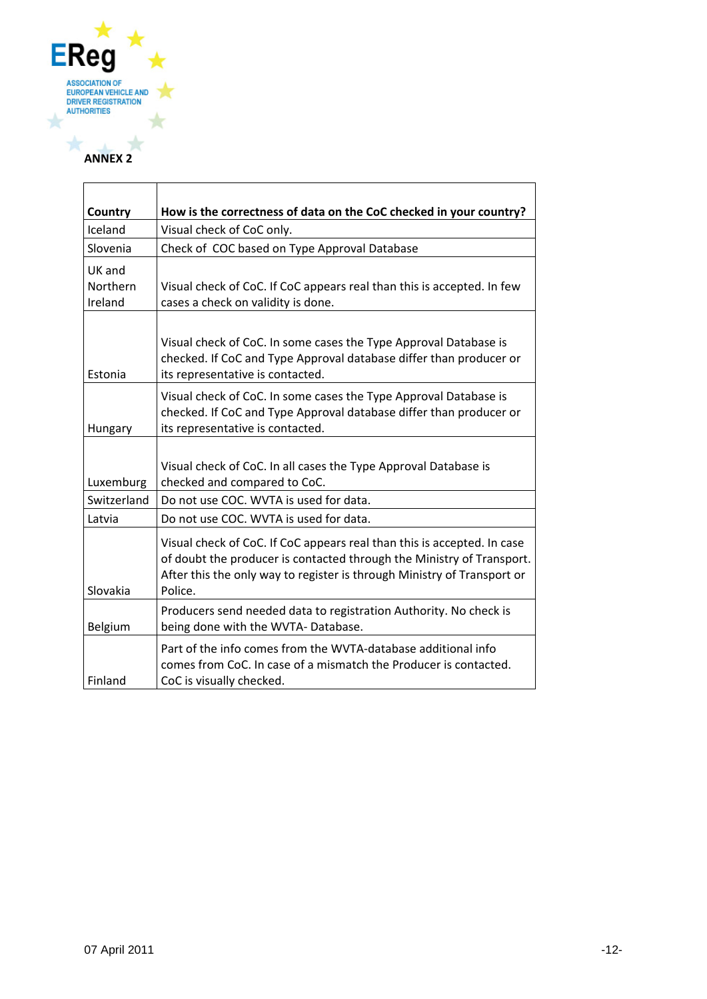

#### **ANNEX 2**

| Country             | How is the correctness of data on the CoC checked in your country?                                                                                                                                                                     |
|---------------------|----------------------------------------------------------------------------------------------------------------------------------------------------------------------------------------------------------------------------------------|
| Iceland             | Visual check of CoC only.                                                                                                                                                                                                              |
| Slovenia            | Check of COC based on Type Approval Database                                                                                                                                                                                           |
| UK and              |                                                                                                                                                                                                                                        |
| Northern<br>Ireland | Visual check of CoC. If CoC appears real than this is accepted. In few<br>cases a check on validity is done.                                                                                                                           |
| Estonia             | Visual check of CoC. In some cases the Type Approval Database is<br>checked. If CoC and Type Approval database differ than producer or<br>its representative is contacted.                                                             |
| Hungary             | Visual check of CoC. In some cases the Type Approval Database is<br>checked. If CoC and Type Approval database differ than producer or<br>its representative is contacted.                                                             |
| Luxemburg           | Visual check of CoC. In all cases the Type Approval Database is<br>checked and compared to CoC.                                                                                                                                        |
| Switzerland         | Do not use COC. WVTA is used for data.                                                                                                                                                                                                 |
| Latvia              | Do not use COC. WVTA is used for data.                                                                                                                                                                                                 |
| Slovakia            | Visual check of CoC. If CoC appears real than this is accepted. In case<br>of doubt the producer is contacted through the Ministry of Transport.<br>After this the only way to register is through Ministry of Transport or<br>Police. |
| Belgium             | Producers send needed data to registration Authority. No check is<br>being done with the WVTA-Database.                                                                                                                                |
| Finland             | Part of the info comes from the WVTA-database additional info<br>comes from CoC. In case of a mismatch the Producer is contacted.<br>CoC is visually checked.                                                                          |